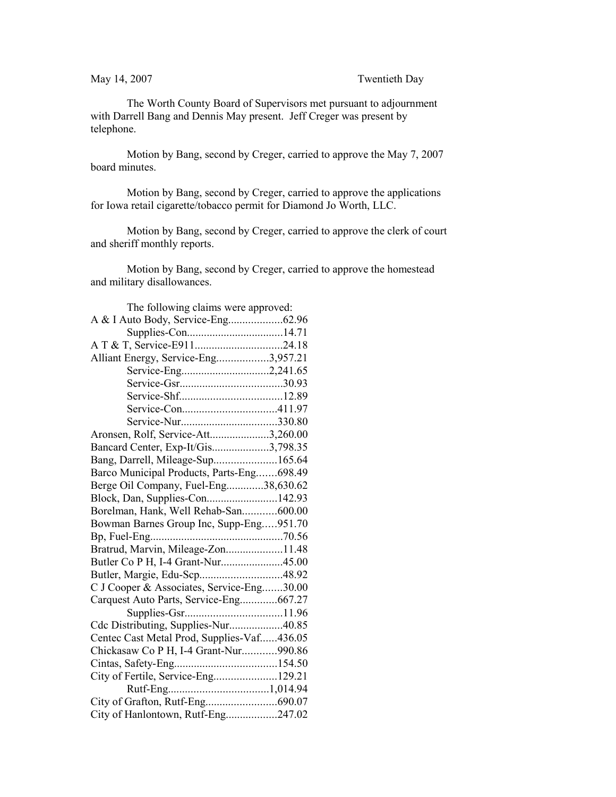The Worth County Board of Supervisors met pursuant to adjournment with Darrell Bang and Dennis May present. Jeff Creger was present by telephone.

Motion by Bang, second by Creger, carried to approve the May 7, 2007 board minutes.

Motion by Bang, second by Creger, carried to approve the applications for Iowa retail cigarette/tobacco permit for Diamond Jo Worth, LLC.

Motion by Bang, second by Creger, carried to approve the clerk of court and sheriff monthly reports.

Motion by Bang, second by Creger, carried to approve the homestead and military disallowances.

| The following claims were approved:        |  |  |
|--------------------------------------------|--|--|
|                                            |  |  |
|                                            |  |  |
|                                            |  |  |
| Alliant Energy, Service-Eng3,957.21        |  |  |
|                                            |  |  |
|                                            |  |  |
|                                            |  |  |
|                                            |  |  |
|                                            |  |  |
| Aronsen, Rolf, Service-Att3,260.00         |  |  |
| Bancard Center, Exp-It/Gis3,798.35         |  |  |
| Bang, Darrell, Mileage-Sup165.64           |  |  |
| Barco Municipal Products, Parts-Eng698.49  |  |  |
| Berge Oil Company, Fuel-Eng38,630.62       |  |  |
| Block, Dan, Supplies-Con142.93             |  |  |
| Borelman, Hank, Well Rehab-San600.00       |  |  |
| Bowman Barnes Group Inc, Supp-Eng951.70    |  |  |
|                                            |  |  |
| Bratrud, Marvin, Mileage-Zon11.48          |  |  |
| Butler Co P H, I-4 Grant-Nur45.00          |  |  |
|                                            |  |  |
| C J Cooper & Associates, Service-Eng30.00  |  |  |
| Carquest Auto Parts, Service-Eng667.27     |  |  |
|                                            |  |  |
| Cdc Distributing, Supplies-Nur40.85        |  |  |
| Centec Cast Metal Prod, Supplies-Vaf436.05 |  |  |
| Chickasaw Co P H, I-4 Grant-Nur990.86      |  |  |
|                                            |  |  |
| City of Fertile, Service-Eng129.21         |  |  |
|                                            |  |  |
| City of Grafton, Rutf-Eng690.07            |  |  |
| City of Hanlontown, Rutf-Eng247.02         |  |  |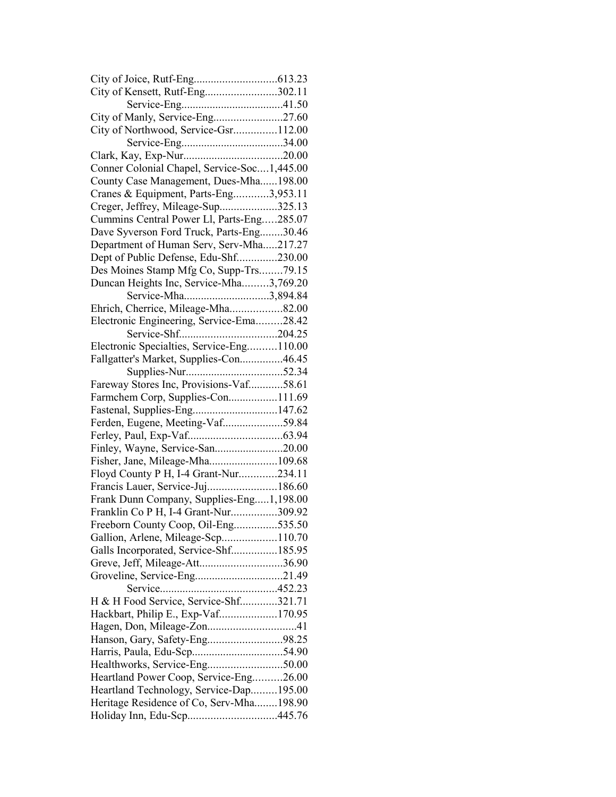| City of Kensett, Rutf-Eng302.11             |  |
|---------------------------------------------|--|
|                                             |  |
| City of Manly, Service-Eng27.60             |  |
| City of Northwood, Service-Gsr112.00        |  |
|                                             |  |
|                                             |  |
| Conner Colonial Chapel, Service-Soc1,445.00 |  |
| County Case Management, Dues-Mha198.00      |  |
| Cranes & Equipment, Parts-Eng3,953.11       |  |
| Creger, Jeffrey, Mileage-Sup325.13          |  |
| Cummins Central Power Ll, Parts-Eng285.07   |  |
| Dave Syverson Ford Truck, Parts-Eng30.46    |  |
| Department of Human Serv, Serv-Mha217.27    |  |
| Dept of Public Defense, Edu-Shf230.00       |  |
| Des Moines Stamp Mfg Co, Supp-Trs79.15      |  |
| Duncan Heights Inc, Service-Mha3,769.20     |  |
| Service-Mha3,894.84                         |  |
| Ehrich, Cherrice, Mileage-Mha82.00          |  |
|                                             |  |
| Electronic Engineering, Service-Ema28.42    |  |
|                                             |  |
| Electronic Specialties, Service-Eng110.00   |  |
| Fallgatter's Market, Supplies-Con46.45      |  |
|                                             |  |
| Fareway Stores Inc, Provisions-Vaf58.61     |  |
| Farmchem Corp, Supplies-Con111.69           |  |
| Fastenal, Supplies-Eng147.62                |  |
| Ferden, Eugene, Meeting-Vaf59.84            |  |
|                                             |  |
| Finley, Wayne, Service-San20.00             |  |
| Fisher, Jane, Mileage-Mha109.68             |  |
| Floyd County P H, I-4 Grant-Nur234.11       |  |
| Francis Lauer, Service-Juj186.60            |  |
| Frank Dunn Company, Supplies-Eng1,198.00    |  |
| Franklin Co P H, I-4 Grant-Nur309.92        |  |
| Freeborn County Coop, Oil-Eng535.50         |  |
| Gallion, Arlene, Mileage-Scp110.70          |  |
| Galls Incorporated, Service-Shf185.95       |  |
| Greve, Jeff, Mileage-Att36.90               |  |
| Groveline, Service-Eng21.49                 |  |
|                                             |  |
| H & H Food Service, Service-Shf321.71       |  |
| Hackbart, Philip E., Exp-Vaf170.95          |  |
|                                             |  |
| Hanson, Gary, Safety-Eng98.25               |  |
|                                             |  |
|                                             |  |
| Heartland Power Coop, Service-Eng26.00      |  |
| Heartland Technology, Service-Dap195.00     |  |
| Heritage Residence of Co, Serv-Mha198.90    |  |
| Holiday Inn, Edu-Scp445.76                  |  |
|                                             |  |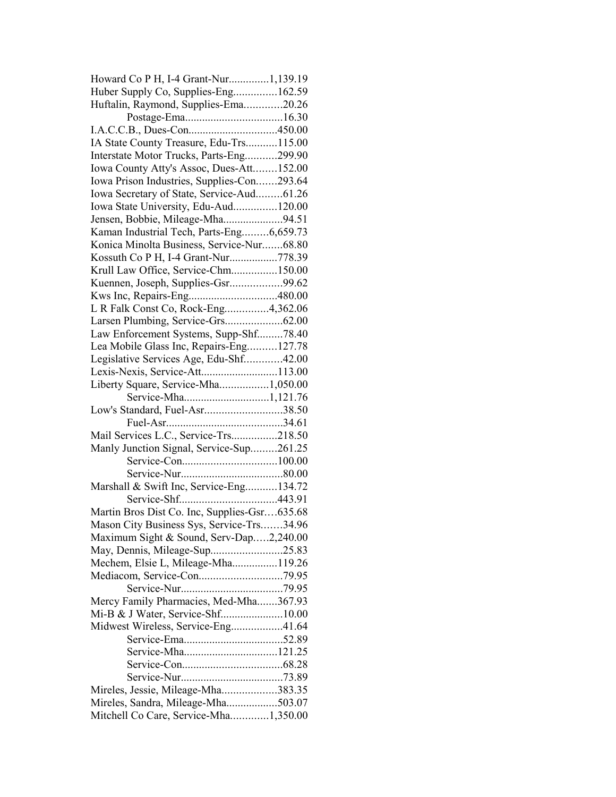| Howard Co P H, I-4 Grant-Nur1,139.19         |  |
|----------------------------------------------|--|
| Huber Supply Co, Supplies-Eng162.59          |  |
| Huftalin, Raymond, Supplies-Ema20.26         |  |
|                                              |  |
|                                              |  |
| IA State County Treasure, Edu-Trs115.00      |  |
| Interstate Motor Trucks, Parts-Eng299.90     |  |
| Iowa County Atty's Assoc, Dues-Att152.00     |  |
| Iowa Prison Industries, Supplies-Con293.64   |  |
| Iowa Secretary of State, Service-Aud61.26    |  |
| Iowa State University, Edu-Aud120.00         |  |
| Jensen, Bobbie, Mileage-Mha94.51             |  |
| Kaman Industrial Tech, Parts-Eng6,659.73     |  |
| Konica Minolta Business, Service-Nur68.80    |  |
| Kossuth Co P H, I-4 Grant-Nur778.39          |  |
| Krull Law Office, Service-Chm150.00          |  |
| Kuennen, Joseph, Supplies-Gsr99.62           |  |
|                                              |  |
| L R Falk Const Co, Rock-Eng4,362.06          |  |
| Larsen Plumbing, Service-Grs62.00            |  |
| Law Enforcement Systems, Supp-Shf78.40       |  |
| Lea Mobile Glass Inc, Repairs-Eng127.78      |  |
| Legislative Services Age, Edu-Shf42.00       |  |
| Lexis-Nexis, Service-Att113.00               |  |
| Liberty Square, Service-Mha1,050.00          |  |
|                                              |  |
| Low's Standard, Fuel-Asr38.50                |  |
|                                              |  |
| Mail Services L.C., Service-Trs218.50        |  |
| Manly Junction Signal, Service-Sup261.25     |  |
|                                              |  |
|                                              |  |
| Marshall & Swift Inc, Service-Eng134.72      |  |
|                                              |  |
| Martin Bros Dist Co. Inc, Supplies-Gsr635.68 |  |
| Mason City Business Sys, Service-Trs34.96    |  |
| Maximum Sight & Sound, Serv-Dap2,240.00      |  |
| May, Dennis, Mileage-Sup25.83                |  |
| Mechem, Elsie L, Mileage-Mha119.26           |  |
|                                              |  |
|                                              |  |
| Mercy Family Pharmacies, Med-Mha367.93       |  |
|                                              |  |
| Midwest Wireless, Service-Eng41.64           |  |
|                                              |  |
|                                              |  |
|                                              |  |
|                                              |  |
|                                              |  |
| Mireles, Jessie, Mileage-Mha383.35           |  |
| Mireles, Sandra, Mileage-Mha503.07           |  |
| Mitchell Co Care, Service-Mha1,350.00        |  |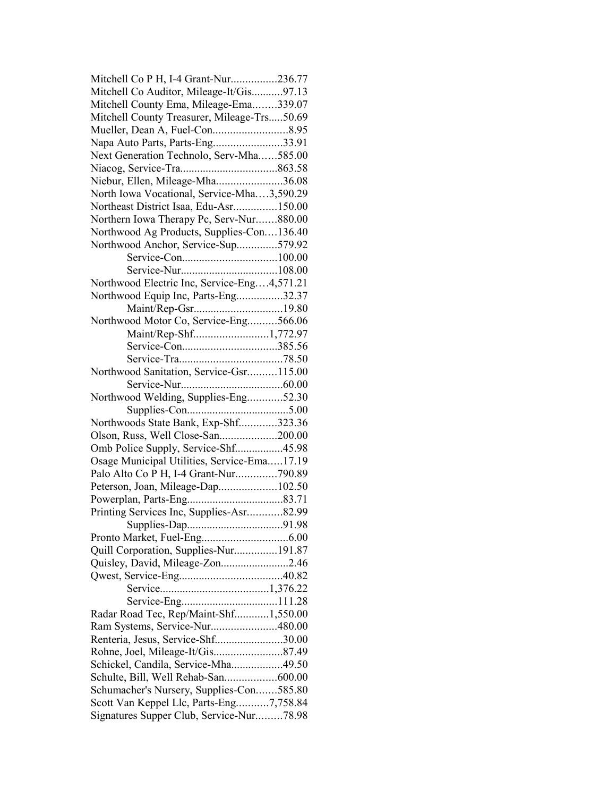| Mitchell Co P H, I-4 Grant-Nur236.77        |  |
|---------------------------------------------|--|
| Mitchell Co Auditor, Mileage-It/Gis97.13    |  |
| Mitchell County Ema, Mileage-Ema339.07      |  |
| Mitchell County Treasurer, Mileage-Trs50.69 |  |
|                                             |  |
| Napa Auto Parts, Parts-Eng33.91             |  |
| Next Generation Technolo, Serv-Mha585.00    |  |
|                                             |  |
| Niebur, Ellen, Mileage-Mha36.08             |  |
| North Iowa Vocational, Service-Mha3,590.29  |  |
| Northeast District Isaa, Edu-Asr150.00      |  |
| Northern Iowa Therapy Pc, Serv-Nur880.00    |  |
| Northwood Ag Products, Supplies-Con136.40   |  |
| Northwood Anchor, Service-Sup579.92         |  |
|                                             |  |
|                                             |  |
| Northwood Electric Inc, Service-Eng4,571.21 |  |
| Northwood Equip Inc, Parts-Eng32.37         |  |
| Maint/Rep-Gsr19.80                          |  |
| Northwood Motor Co, Service-Eng566.06       |  |
| Maint/Rep-Shf1,772.97                       |  |
|                                             |  |
|                                             |  |
| Northwood Sanitation, Service-Gsr115.00     |  |
|                                             |  |
| Northwood Welding, Supplies-Eng52.30        |  |
|                                             |  |
| Northwoods State Bank, Exp-Shf323.36        |  |
| Olson, Russ, Well Close-San200.00           |  |
| Omb Police Supply, Service-Shf45.98         |  |
| Osage Municipal Utilities, Service-Ema17.19 |  |
| Palo Alto Co P H, I-4 Grant-Nur790.89       |  |
| Peterson, Joan, Mileage-Dap102.50           |  |
|                                             |  |
|                                             |  |
| Printing Services Inc, Supplies-Asr82.99    |  |
|                                             |  |
|                                             |  |
| Quill Corporation, Supplies-Nur191.87       |  |
| Quisley, David, Mileage-Zon2.46             |  |
|                                             |  |
|                                             |  |
|                                             |  |
| Radar Road Tec, Rep/Maint-Shf1,550.00       |  |
| Ram Systems, Service-Nur480.00              |  |
| Renteria, Jesus, Service-Shf30.00           |  |
|                                             |  |
| Schickel, Candila, Service-Mha49.50         |  |
| Schulte, Bill, Well Rehab-San600.00         |  |
| Schumacher's Nursery, Supplies-Con585.80    |  |
| Scott Van Keppel Llc, Parts-Eng7,758.84     |  |
| Signatures Supper Club, Service-Nur78.98    |  |
|                                             |  |